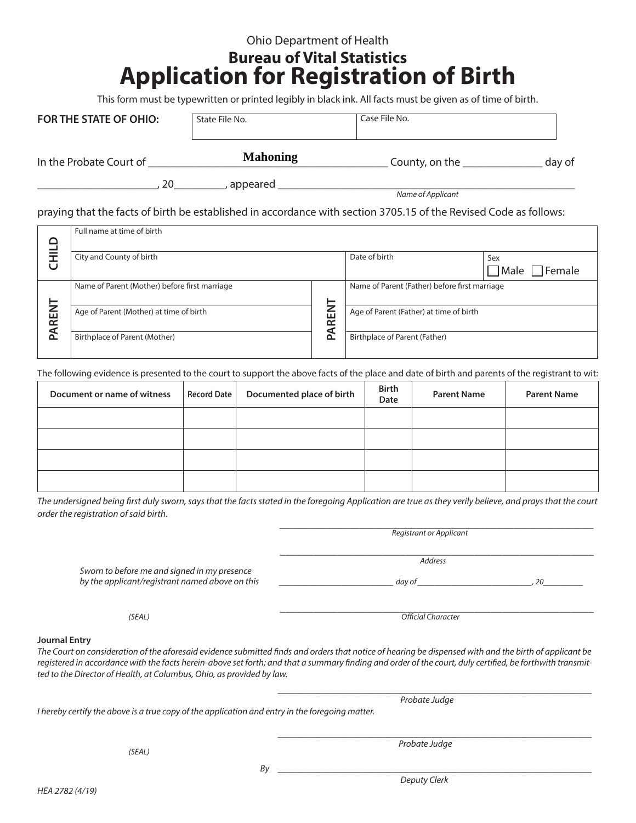## Ohio Department of Health

## **Bureau of Vital Statistics Application for Registration of Birth**

This form must be typewritten or printed legibly in black ink. All facts must be given as of time of birth.

| <b>FOR THE STATE OF OHIO:</b> | State File No. | Case File No. |
|-------------------------------|----------------|---------------|
|                               |                |               |

In the Probate Court of \_\_\_\_\_\_\_\_\_\_\_\_\_\_\_\_\_\_\_\_\_\_\_\_\_\_\_\_\_\_\_\_\_\_\_\_\_\_\_\_\_\_ County, on the \_\_\_\_\_\_\_\_\_\_\_\_\_\_ day of

**Mahoning**

\_\_\_\_\_\_\_\_\_\_\_\_\_\_\_\_\_\_\_\_\_, 20\_\_\_\_\_\_\_\_\_, appeared \_\_\_\_\_\_\_\_\_\_\_\_\_\_\_\_\_\_\_\_\_\_\_\_\_\_\_\_\_\_\_\_\_\_\_\_\_\_\_\_\_\_\_\_\_\_\_\_\_\_\_\_

*Name of Applicant*

praying that the facts of birth be established in accordance with section 3705.15 of the Revised Code as follows:

|       | Full name at time of birth                    |        |                                               |                           |
|-------|-----------------------------------------------|--------|-----------------------------------------------|---------------------------|
|       |                                               |        |                                               |                           |
|       | City and County of birth                      |        | Date of birth                                 | Sex                       |
| U     |                                               |        |                                               | $\Box$ Male $\Box$ Female |
|       | Name of Parent (Mother) before first marriage |        | Name of Parent (Father) before first marriage |                           |
| -     |                                               |        |                                               |                           |
| PAREN | Age of Parent (Mother) at time of birth       | ш      | Age of Parent (Father) at time of birth       |                           |
|       |                                               | ∼<br>a |                                               |                           |
|       | Birthplace of Parent (Mother)                 | Δ      | Birthplace of Parent (Father)                 |                           |
|       |                                               |        |                                               |                           |

The following evidence is presented to the court to support the above facts of the place and date of birth and parents of the registrant to wit:

| Document or name of witness | Record Date | Documented place of birth | <b>Birth</b><br>Date | <b>Parent Name</b> | <b>Parent Name</b> |
|-----------------------------|-------------|---------------------------|----------------------|--------------------|--------------------|
|                             |             |                           |                      |                    |                    |
|                             |             |                           |                      |                    |                    |
|                             |             |                           |                      |                    |                    |
|                             |             |                           |                      |                    |                    |

*The undersigned being first duly sworn, says that the facts stated in the foregoing Application are true as they verily believe, and prays that the court order the registration of said birth.*

|                                                                                                                                                                                                                                                                                                                                                                                                                      | Registrant or Applicant   |    |
|----------------------------------------------------------------------------------------------------------------------------------------------------------------------------------------------------------------------------------------------------------------------------------------------------------------------------------------------------------------------------------------------------------------------|---------------------------|----|
|                                                                                                                                                                                                                                                                                                                                                                                                                      | <b>Address</b>            |    |
| Sworn to before me and signed in my presence<br>by the applicant/registrant named above on this                                                                                                                                                                                                                                                                                                                      | day of                    | 20 |
| (SEAL)                                                                                                                                                                                                                                                                                                                                                                                                               | <b>Official Character</b> |    |
| <b>Journal Entry</b><br>The Court on consideration of the aforesaid evidence submitted finds and orders that notice of hearing be dispensed with and the birth of applicant be<br>registered in accordance with the facts herein-above set forth; and that a summary finding and order of the court, duly certified, be forthwith transmit-<br>ted to the Director of Health, at Columbus, Ohio, as provided by law. |                           |    |
|                                                                                                                                                                                                                                                                                                                                                                                                                      |                           |    |
| I hereby certify the above is a true copy of the application and entry in the foregoing matter.                                                                                                                                                                                                                                                                                                                      | Probate Judge             |    |
|                                                                                                                                                                                                                                                                                                                                                                                                                      |                           |    |
| (SEAL)                                                                                                                                                                                                                                                                                                                                                                                                               | Probate Judge             |    |